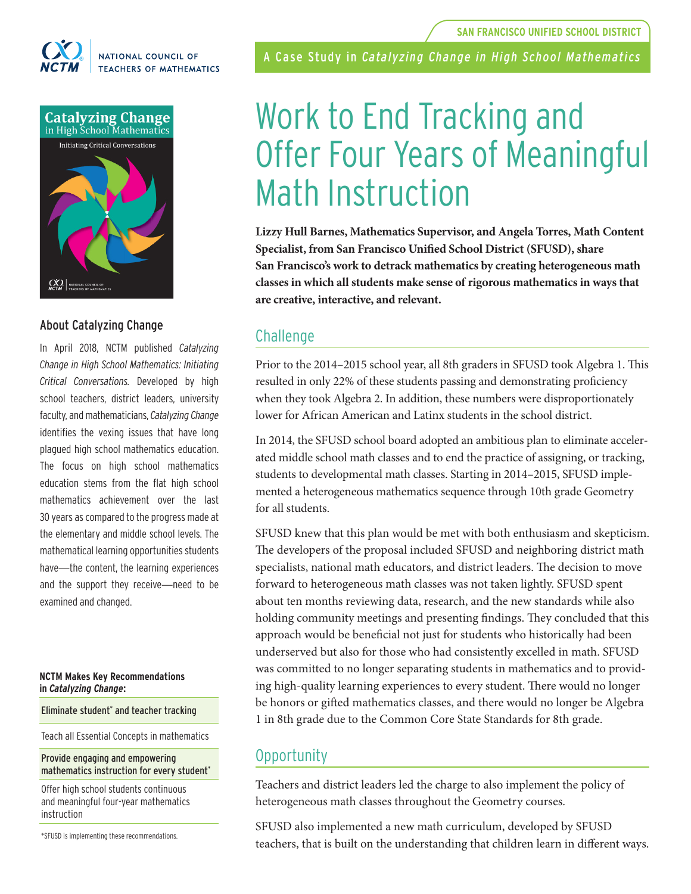

### NATIONAL COUNCIL OF **TEACHERS OF MATHEMATICS**



### About Catalyzing Change

In April 2018, NCTM published *Catalyzing Change in High School Mathematics: Initiating Critical Conversations.* Developed by high school teachers, district leaders, university faculty, and mathematicians, *Catalyzing Change* identifies the vexing issues that have long plagued high school mathematics education. The focus on high school mathematics education stems from the flat high school mathematics achievement over the last 30 years as compared to the progress made at the elementary and middle school levels. The mathematical learning opportunities students have—the content, the learning experiences and the support they receive—need to be examined and changed.

### **NCTM Makes Key Recommendations in** *Catalyzing Change***:**

### Eliminate student\* and teacher tracking

Teach all Essential Concepts in mathematics

### Provide engaging and empowering mathematics instruction for every student\*

Offer high school students continuous and meaningful four-year mathematics instruction

\*SFUSD is implementing these recommendations.

A Case Study in *Catalyzing Change in High School Mathematics*

# Work to End Tracking and Offer Four Years of Meaningful Math Instruction

**Lizzy Hull Barnes, Mathematics Supervisor, and Angela Torres, Math Content Specialist, from San Francisco Unified School District (SFUSD), share San Francisco's work to detrack mathematics by creating heterogeneous math classes in which all students make sense of rigorous mathematics in ways that are creative, interactive, and relevant.** 

## Challenge

Prior to the 2014–2015 school year, all 8th graders in SFUSD took Algebra 1. This resulted in only 22% of these students passing and demonstrating proficiency when they took Algebra 2. In addition, these numbers were disproportionately lower for African American and Latinx students in the school district.

In 2014, the SFUSD school board adopted an ambitious plan to eliminate accelerated middle school math classes and to end the practice of assigning, or tracking, students to developmental math classes. Starting in 2014–2015, SFUSD implemented a heterogeneous mathematics sequence through 10th grade Geometry for all students.

SFUSD knew that this plan would be met with both enthusiasm and skepticism. The developers of the proposal included SFUSD and neighboring district math specialists, national math educators, and district leaders. The decision to move forward to heterogeneous math classes was not taken lightly. SFUSD spent about ten months reviewing data, research, and the new standards while also holding community meetings and presenting findings. They concluded that this approach would be beneficial not just for students who historically had been underserved but also for those who had consistently excelled in math. SFUSD was committed to no longer separating students in mathematics and to providing high-quality learning experiences to every student. There would no longer be honors or gifted mathematics classes, and there would no longer be Algebra 1 in 8th grade due to the Common Core State Standards for 8th grade.

## Opportunity

Teachers and district leaders led the charge to also implement the policy of heterogeneous math classes throughout the Geometry courses.

SFUSD also implemented a new math curriculum, developed by SFUSD teachers, that is built on the understanding that children learn in different ways.